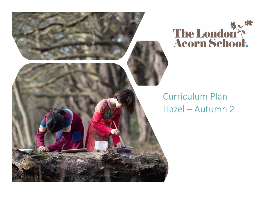

## **Curriculum Plan** Hazel - Autumn 2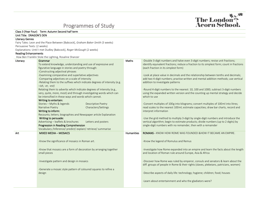## Programmes of Study



| Class 3 (Year Four) Term: Autumn Second half term |                                                                                 |                   |                                                                                           |  |  |  |  |
|---------------------------------------------------|---------------------------------------------------------------------------------|-------------------|-------------------------------------------------------------------------------------------|--|--|--|--|
| Unit Title: DRAGON'S DEN                          |                                                                                 |                   |                                                                                           |  |  |  |  |
| <b>Literacy Genres</b>                            |                                                                                 |                   |                                                                                           |  |  |  |  |
|                                                   | Fairy Tales: Leon and the Place Between [Babcock], Graham Baker-Smith (3 weeks) |                   |                                                                                           |  |  |  |  |
| Persuasive Texts: (2 weeks)                       |                                                                                 |                   |                                                                                           |  |  |  |  |
|                                                   | Explanations: Until I met Dudley [Babcock], Roger McGough (2 weeks)             |                   |                                                                                           |  |  |  |  |
| <b>Reading Enhancements</b>                       |                                                                                 |                   |                                                                                           |  |  |  |  |
|                                                   | How Ben Franklin Stole the Lighting, Rosaline Shanzer                           |                   |                                                                                           |  |  |  |  |
| Literacy                                          | Grammar                                                                         | Maths             | -Double 3-digit numbers and halve even 3-digit numbers; revise unit fractions;            |  |  |  |  |
|                                                   | To extend knowledge, understanding and use of expressive and                    |                   | identify equivalent fractions; reduce a fraction to its simplest form; count in fractions |  |  |  |  |
|                                                   | figurative language in stories and poetry through:                              |                   | (each fraction in its simplest form)                                                      |  |  |  |  |
|                                                   | -Constructing adjectival phrases                                                |                   |                                                                                           |  |  |  |  |
|                                                   | -Examining comparative and superlative adjectives                               |                   | -Look at place value in decimals and the relationship between tenths and decimals;        |  |  |  |  |
|                                                   | -Comparing adjectives on a scale of intensity                                   |                   | add two 4-digit numbers; practise written and mental addition methods; use vertical       |  |  |  |  |
|                                                   | -Relating them to the suffixes which indicate degrees of intensity (e.g.        |                   | addition to investigate patterns                                                          |  |  |  |  |
|                                                   | $-ish$ , $-er$ , $-est$ )                                                       |                   |                                                                                           |  |  |  |  |
|                                                   | Relating them to adverbs which indicate degrees of intensity (e.g.,             |                   | -Round 4-digit numbers to the nearest: 10, 100 and 1000; subtract 3-digit numbers         |  |  |  |  |
|                                                   | very, quite, more, most) and through investigating words which can              |                   | using the expanded written version and the counting up mental strategy and decide         |  |  |  |  |
|                                                   | be intensified in these ways and words which cannot.                            |                   | which to use                                                                              |  |  |  |  |
|                                                   | Writing to entertain:                                                           |                   |                                                                                           |  |  |  |  |
|                                                   | Stories - Myths & legends<br><b>Descriptive Poetry</b>                          |                   | -Convert multiples of 100g into kilograms; convert multiples of 100ml into litres;        |  |  |  |  |
|                                                   | Narrative Poetry<br>Characters/Settings                                         |                   | read scales to the nearest 100ml; estimate capacities; draw bar charts, record and        |  |  |  |  |
|                                                   | Writing to inform:                                                              |                   | interpret information                                                                     |  |  |  |  |
|                                                   | Recounts; letters; biographies and Newspaper article Explanation                |                   |                                                                                           |  |  |  |  |
|                                                   | Writing to persuade:                                                            |                   | -Use the grid method to multiply 3-digit by single-digit numbers and introduce the        |  |  |  |  |
|                                                   | Advertising - leaflets & brochures<br>Letters and posters                       |                   | vertical algorithm; begin to estimate products; divide numbers (up to 2 digits) by        |  |  |  |  |
|                                                   | Progression in Reading Comprehension                                            |                   | single-digit numbers with no remainder, then with a remainder                             |  |  |  |  |
|                                                   | Vocabulary /Inference/ predict/ explain/ retrieve/ summarise                    |                   |                                                                                           |  |  |  |  |
| Art                                               | <b>MIXED MEDIA - MOSAICS</b>                                                    | <b>Humanities</b> | <b>ROMANS - KNOW HOW ROME WAS FOUNDED &amp; HOW IT BECAME AN EMPIRE.</b>                  |  |  |  |  |
|                                                   |                                                                                 |                   |                                                                                           |  |  |  |  |
|                                                   | -Know the significance of mosaics in Roman art.                                 |                   | -Know the legend of Romulus and Remus                                                     |  |  |  |  |
|                                                   |                                                                                 |                   |                                                                                           |  |  |  |  |
|                                                   | -Know that mosaics are a form of decoration by arranging together               |                   | -Investigate how Rome expanded into an empire and learn the facts about the length        |  |  |  |  |
|                                                   | small pieces                                                                    |                   | and location of Roman rule around Europe, Asia & Africa                                   |  |  |  |  |
|                                                   |                                                                                 |                   |                                                                                           |  |  |  |  |
|                                                   |                                                                                 |                   | -Discover how Rome was ruled by emperor, consuls and senators & learn about the           |  |  |  |  |
|                                                   | -Investigate pattern and design in mosaics                                      |                   | diff. groups of people in Rome & their rights (slaves, plebeians, patricians, women)      |  |  |  |  |
|                                                   |                                                                                 |                   |                                                                                           |  |  |  |  |
|                                                   | -Generate a mosaic style pattern of coloured squares to refine a                |                   |                                                                                           |  |  |  |  |
|                                                   | design                                                                          |                   | -Describe aspects of daily life: technology; hygiene; children; food; houses              |  |  |  |  |
|                                                   |                                                                                 |                   |                                                                                           |  |  |  |  |
|                                                   |                                                                                 |                   | -Learn about entertainment and who the gladiators were?                                   |  |  |  |  |
|                                                   |                                                                                 |                   |                                                                                           |  |  |  |  |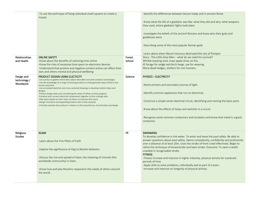|                | -To use the technique of fixing individual small squares to create a<br>mosaic                                                          |         | -Identify the differences between leisure today and in ancient Rome<br>-Know what the life of a gladiator was like: what they did and why; what weapons<br>they used; where gladiator fights took place<br>-Investigate the beliefs of the ancient Romans and know who their gods and<br>goddesses were.<br>-Describing some of the most popular Roman gods<br>-Learn about when Mount Vesuvius destroyed the city of Pompeii |
|----------------|-----------------------------------------------------------------------------------------------------------------------------------------|---------|-------------------------------------------------------------------------------------------------------------------------------------------------------------------------------------------------------------------------------------------------------------------------------------------------------------------------------------------------------------------------------------------------------------------------------|
| Relationships  | <b>ONLINE SAFETY</b>                                                                                                                    | Forest  | Story: The Little Grey Men - what do we need for survival?                                                                                                                                                                                                                                                                                                                                                                    |
| and Health     | -Know about the benefits of rationing time online                                                                                       | School  | Whittle toasting stick, toast apple slices on fire.                                                                                                                                                                                                                                                                                                                                                                           |
|                | -Know the risks of excessive time spent on electronic devices<br>-Understand that positive and negative content online can affect their |         | ID forage for sedge and birch twigs, use for weaving.<br>More dead-hedges, shelters for non-humans.                                                                                                                                                                                                                                                                                                                           |
|                | own and others mental and physical wellbeing                                                                                            |         |                                                                                                                                                                                                                                                                                                                                                                                                                               |
| Design and     | PRODUCT DESIGN USING ELECTICITY                                                                                                         | Science | <b>PHYSICS - ELECTRICITY</b>                                                                                                                                                                                                                                                                                                                                                                                                  |
| technology/    | -Use surveys to gather information about desirable consumer products and designs                                                        |         |                                                                                                                                                                                                                                                                                                                                                                                                                               |
| Woodwork       | -Use the knowledge of a range of existing products to help generate ideas linked to the<br>survey outcomes                              |         | -Name primary and secondary sources of light.                                                                                                                                                                                                                                                                                                                                                                                 |
|                | -Use annotated sketches and cross-sectional drawings to develop realistic ideas and                                                     |         |                                                                                                                                                                                                                                                                                                                                                                                                                               |
|                | designs<br>-Present design ideas and considering the views of others as they progress                                                   |         | -Identify common appliances that run on electricity.                                                                                                                                                                                                                                                                                                                                                                          |
|                | -Combine and connect electrical components together to test a design idea                                                               |         |                                                                                                                                                                                                                                                                                                                                                                                                                               |
|                | -Alter plans based on their views of others to improve their work.<br>-Design innovative and appealing product with a clear purpose     |         | -Construct a simple series electrical circuit, identifying and naming the basic parts.                                                                                                                                                                                                                                                                                                                                        |
|                | -Critically evaluate the product in relation to the manufacture, functionality and design                                               |         |                                                                                                                                                                                                                                                                                                                                                                                                                               |
|                |                                                                                                                                         |         | -Know about the effects of loops and switches in a circuit.                                                                                                                                                                                                                                                                                                                                                                   |
|                |                                                                                                                                         |         |                                                                                                                                                                                                                                                                                                                                                                                                                               |
|                |                                                                                                                                         |         | -Recognise some common conductors and insulators and know that metal is a good                                                                                                                                                                                                                                                                                                                                                |
|                |                                                                                                                                         |         | conductor.                                                                                                                                                                                                                                                                                                                                                                                                                    |
|                |                                                                                                                                         |         |                                                                                                                                                                                                                                                                                                                                                                                                                               |
| Religious      | <b>ISLAM</b>                                                                                                                            | PE      | <b>SWIMMING</b>                                                                                                                                                                                                                                                                                                                                                                                                               |
| <b>Studies</b> |                                                                                                                                         |         | To develop confidence in the water. To enter and leave the pool safely. Be able to                                                                                                                                                                                                                                                                                                                                            |
|                | -Learn about the Five Pillars of Faith                                                                                                  |         | answer questions about pool safety. Swims competently, confidently and proficiently                                                                                                                                                                                                                                                                                                                                           |
|                |                                                                                                                                         |         | over a distance of at least 20m. Uses the stroke of front crawl effectively. Begin to                                                                                                                                                                                                                                                                                                                                         |
|                | -Explore the significance of Hajj to Muslim believers                                                                                   |         | refine the technique of breaststroke and back stroke. Outcome: To swim a width                                                                                                                                                                                                                                                                                                                                                |
|                |                                                                                                                                         |         | unaided in recognisable stroke.<br><b>FITNESS</b>                                                                                                                                                                                                                                                                                                                                                                             |
|                | -Discuss the rise and spread of Islam; the meaning of Ummah (the                                                                        |         | -Fitness Increase and improve in higher intensity, physical activity for sustained                                                                                                                                                                                                                                                                                                                                            |
|                | worldwide community) in Islam.                                                                                                          |         | periods of time.                                                                                                                                                                                                                                                                                                                                                                                                              |
|                |                                                                                                                                         |         | -Apply skills to solve problems, individually and as part of a team.                                                                                                                                                                                                                                                                                                                                                          |
|                | -Know how and why Muslims respond to the needs of others around                                                                         |         | -Increase and improve on longevity of physical activity.                                                                                                                                                                                                                                                                                                                                                                      |
|                | the world.                                                                                                                              |         |                                                                                                                                                                                                                                                                                                                                                                                                                               |
|                |                                                                                                                                         |         |                                                                                                                                                                                                                                                                                                                                                                                                                               |
|                |                                                                                                                                         |         |                                                                                                                                                                                                                                                                                                                                                                                                                               |